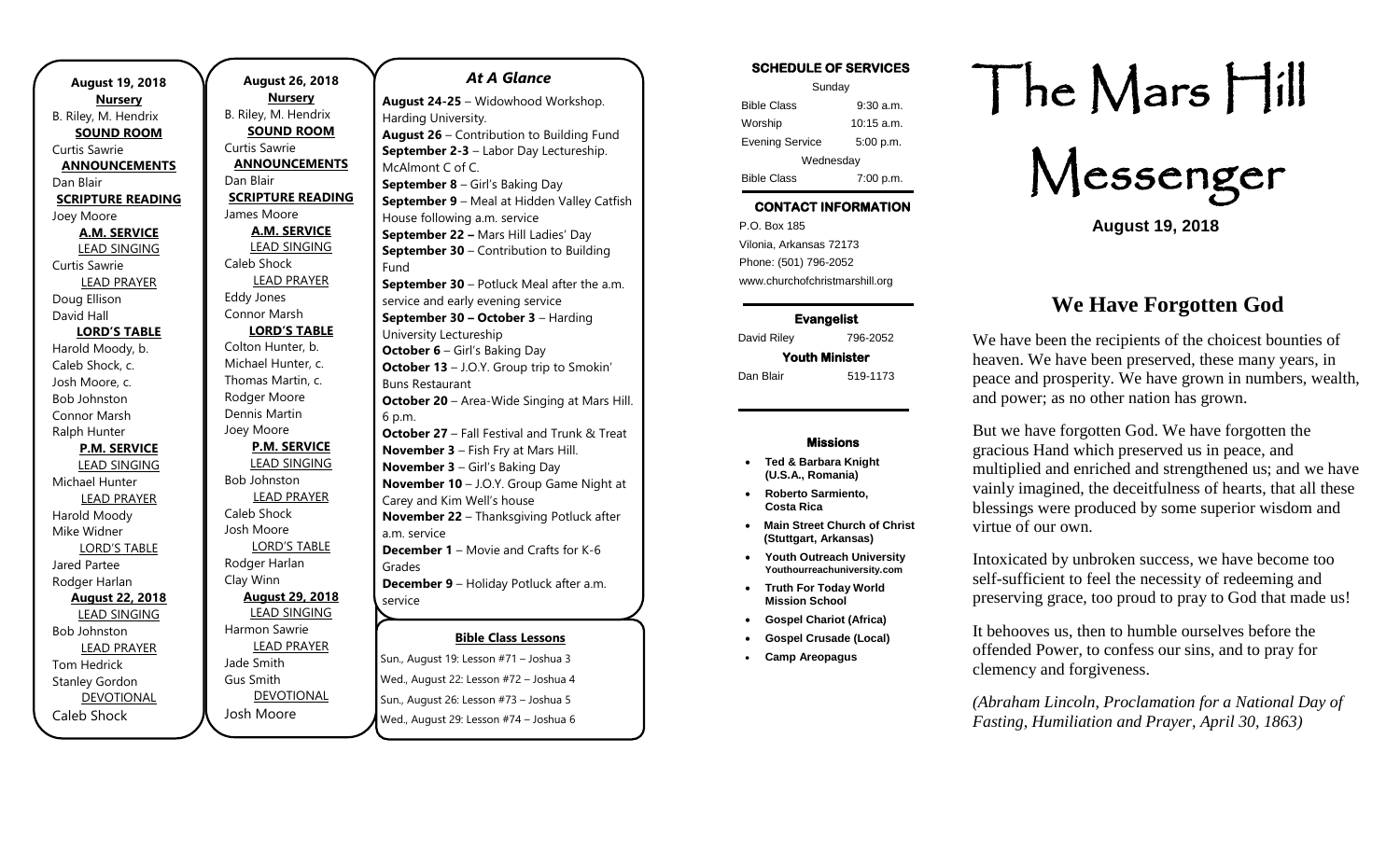| <b>August 19, 2018</b>   |  |  |
|--------------------------|--|--|
| <b>Nursery</b>           |  |  |
| B. Riley, M. Hendrix     |  |  |
| <b>SOUND ROOM</b>        |  |  |
| Curtis Sawrie            |  |  |
| <b>ANNOUNCEMENTS</b>     |  |  |
| Dan Blair                |  |  |
| <b>SCRIPTURE READING</b> |  |  |
| Joey Moore               |  |  |
| <b>A.M. SERVICE</b>      |  |  |
| <b>LEAD SINGING</b>      |  |  |
| Curtis Sawrie            |  |  |
| <b>LEAD PRAYER</b>       |  |  |
| Doug Ellison             |  |  |
| David Hall               |  |  |
| <b>LORD'S TABLE</b>      |  |  |
| Harold Moody, b.         |  |  |
| Caleb Shock, c.          |  |  |
| Josh Moore, c.           |  |  |
| <b>Bob Johnston</b>      |  |  |
| Connor Marsh             |  |  |
| Ralph Hunter             |  |  |
| <b>P.M. SERVICE</b>      |  |  |
| <b>LEAD SINGING</b>      |  |  |
| Michael Hunter           |  |  |
| <b>LEAD PRAYER</b>       |  |  |
| Harold Moody             |  |  |
| Mike Widner              |  |  |
| <b>LORD'S TABLE</b>      |  |  |
| Jared Partee             |  |  |
| Rodger Harlan            |  |  |
| <b>August 22, 2018</b>   |  |  |
| <b>LEAD SINGING</b>      |  |  |
| <b>Bob Johnston</b>      |  |  |
| <b>LEAD PRAYER</b>       |  |  |
| <b>Tom Hedrick</b>       |  |  |
| <b>Stanley Gordon</b>    |  |  |
| <b>DEVOTIONAL</b>        |  |  |
| Caleb Shock              |  |  |

**August 26, 2018 Nursery** B. Riley, M. Hendrix **SOUND ROOM** Curtis Sawrie **ANNOUNCEMENTS** Dan Blair **SCRIPTURE READING** James Moore **A.M. SERVICE** LEAD SINGING Caleb Shock LEAD PRAYER Eddy Jones Connor Marsh **LORD'S TABLE** Colton Hunter, b. Michael Hunter, c. Thomas Martin, c. Rodger Moore Dennis Martin Joey Moore **P.M. SERVICE** LEAD SINGING Bob Johnston LEAD PRAYER Caleb Shock Josh Moore LORD'S TABLE Rodger Harlan Clay Winn **August 29, 2018** LEAD SINGING Harmon Sawrie LEAD PRAYER Jade Smith Gus Smith DEVOTIONAL Josh Moore Fund 6 p.m. Grades service

### **Bible Class Lessons** *At A Glance*  **August 24-25** – Widowhood Workshop. Harding University. **August 26** – Contribution to Building Fund **September 2-3** – Labor Day Lectureship. McAlmont C of C. **September 8** – Girl's Baking Day **September 9** – Meal at Hidden Valley Catfish House following a.m. service **September 22 –** Mars Hill Ladies' Day **September 30** – Contribution to Building **September 30** – Potluck Meal after the a.m. service and early evening service **September 30 – October 3** – Harding University Lectureship **October 6** – Girl's Baking Day **October 13** – J.O.Y. Group trip to Smokin' Buns Restaurant **October 20** – Area-Wide Singing at Mars Hill. **October 27** – Fall Festival and Trunk & Treat **November 3** – Fish Fry at Mars Hill. **November 3** – Girl's Baking Day **November 10** – J.O.Y. Group Game Night at Carey and Kim Well's house **November 22** – Thanksgiving Potluck after a.m. service **December 1** – Movie and Crafts for K-6 **December 9** – Holiday Potluck after a.m.

Sun., August 19: Lesson #71 – Joshua 3 Wed., August 22: Lesson #72 – Joshua 4 Sun., August 26: Lesson #73 – Joshua 5 Wed., August 29: Lesson #74 – Joshua 6

### **SCHEDULE OF SERVICES**

| Sunday                 |              |  |
|------------------------|--------------|--|
| <b>Bible Class</b>     | $9:30$ a.m.  |  |
| Worship                | $10:15$ a.m. |  |
| <b>Evening Service</b> | 5:00 p.m.    |  |
| Wednesday              |              |  |
| <b>Bible Class</b>     | 7:00 p.m.    |  |

### **CONTACT INFORMATION**

. .o. Box 166<br>Vilonia, Arkansas 72173 P.O. Box 185 Phone: (501) 796-2052 www.churchofchristmarshill.org

**Evangelist**  David Riley 796-2052 **Youth Minister**  Dan Blair 519-1173

#### **Missions**

- **Ted & Barbara Knight (U.S.A., Romania)**
- **Roberto Sarmiento, Costa Rica**
- **Main Street Church of Christ (Stuttgart, Arkansas)**
- **Youth Outreach University Youthourreachuniversity.com**
- **Truth For Today World Mission School**
- **Gospel Chariot (Africa)**
- **Gospel Crusade (Local)**
- **Camp Areopagus**

# The Mars Hill

Messenger

**August 19, 2018**

## **We Have Forgotten God**

We have been the recipients of the choicest bounties of heaven. We have been preserved, these many years, in peace and prosperity. We have grown in numbers, wealth, and power; as no other nation has grown.

But we have forgotten God. We have forgotten the gracious Hand which preserved us in peace, and multiplied and enriched and strengthened us; and we have vainly imagined, the deceitfulness of hearts, that all these blessings were produced by some superior wisdom and virtue of our own.

Intoxicated by unbroken success, we have become too self-sufficient to feel the necessity of redeeming and preserving grace, too proud to pray to God that made us!

It behooves us, then to humble ourselves before the offended Power, to confess our sins, and to pray for clemency and forgiveness.

*(Abraham Lincoln, Proclamation for a National Day of Fasting, Humiliation and Prayer, April 30, 1863)*